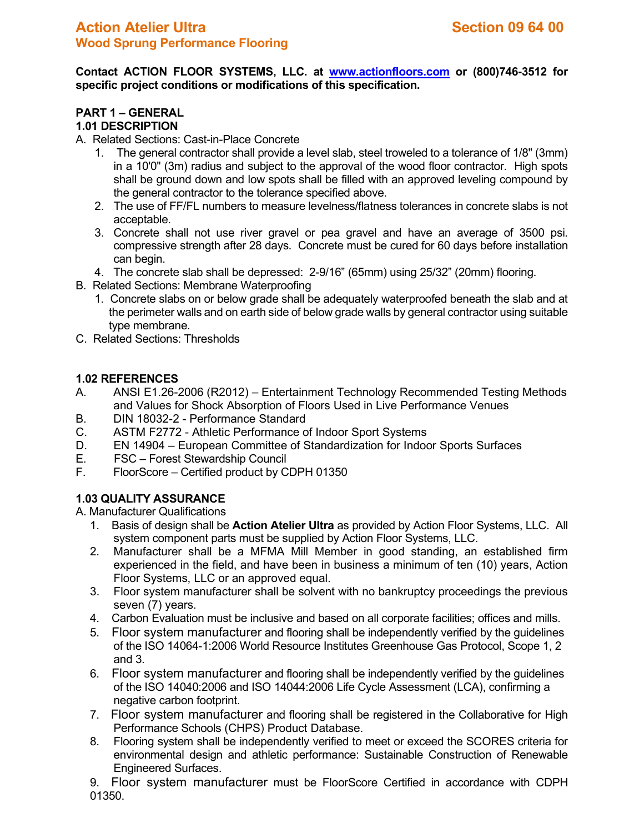**Contact ACTION FLOOR SYSTEMS, LLC. at [www.actionfloors.com](http://www.actionfloors.com/) or (800)746-3512 for specific project conditions or modifications of this specification.**

# **PART 1 – GENERAL 1.01 DESCRIPTION**

### A. Related Sections: Cast-in-Place Concrete

- 1. The general contractor shall provide a level slab, steel troweled to a tolerance of 1/8" (3mm) in a 10'0" (3m) radius and subject to the approval of the wood floor contractor. High spots shall be ground down and low spots shall be filled with an approved leveling compound by the general contractor to the tolerance specified above.
- 2. The use of FF/FL numbers to measure levelness/flatness tolerances in concrete slabs is not acceptable.
- 3. Concrete shall not use river gravel or pea gravel and have an average of 3500 psi. compressive strength after 28 days. Concrete must be cured for 60 days before installation can begin.
- 4. The concrete slab shall be depressed: 2-9/16" (65mm) using 25/32" (20mm) flooring.
- B. Related Sections: Membrane Waterproofing
	- 1. Concrete slabs on or below grade shall be adequately waterproofed beneath the slab and at the perimeter walls and on earth side of below grade walls by general contractor using suitable type membrane.
- C. Related Sections: Thresholds

## **1.02 REFERENCES**

- A. ANSI E1.26-2006 (R2012) Entertainment Technology Recommended Testing Methods and Values for Shock Absorption of Floors Used in Live Performance Venues
- B. DIN 18032-2 Performance Standard
- C. ASTM F2772 Athletic Performance of Indoor Sport Systems
- D. EN 14904 European Committee of Standardization for Indoor Sports Surfaces
- E. FSC Forest Stewardship Council
- FloorScore Certified product by CDPH 01350

## **1.03 QUALITY ASSURANCE**

A. Manufacturer Qualifications

- 1. Basis of design shall be **Action Atelier Ultra** as provided by Action Floor Systems, LLC. All system component parts must be supplied by Action Floor Systems, LLC.
- 2. Manufacturer shall be a MFMA Mill Member in good standing, an established firm experienced in the field, and have been in business a minimum of ten (10) years, Action Floor Systems, LLC or an approved equal.
- 3. Floor system manufacturer shall be solvent with no bankruptcy proceedings the previous seven (7) years.
- 4. Carbon Evaluation must be inclusive and based on all corporate facilities; offices and mills.
- 5. Floor system manufacturer and flooring shall be independently verified by the guidelines of the ISO 14064-1:2006 World Resource Institutes Greenhouse Gas Protocol, Scope 1, 2 and 3.
- 6. Floor system manufacturer and flooring shall be independently verified by the guidelines of the ISO 14040:2006 and ISO 14044:2006 Life Cycle Assessment (LCA), confirming a negative carbon footprint.
- 7. Floor system manufacturer and flooring shall be registered in the Collaborative for High Performance Schools (CHPS) Product Database.
- 8. Flooring system shall be independently verified to meet or exceed the SCORES criteria for environmental design and athletic performance: Sustainable Construction of Renewable Engineered Surfaces.

9. Floor system manufacturer must be FloorScore Certified in accordance with CDPH 01350.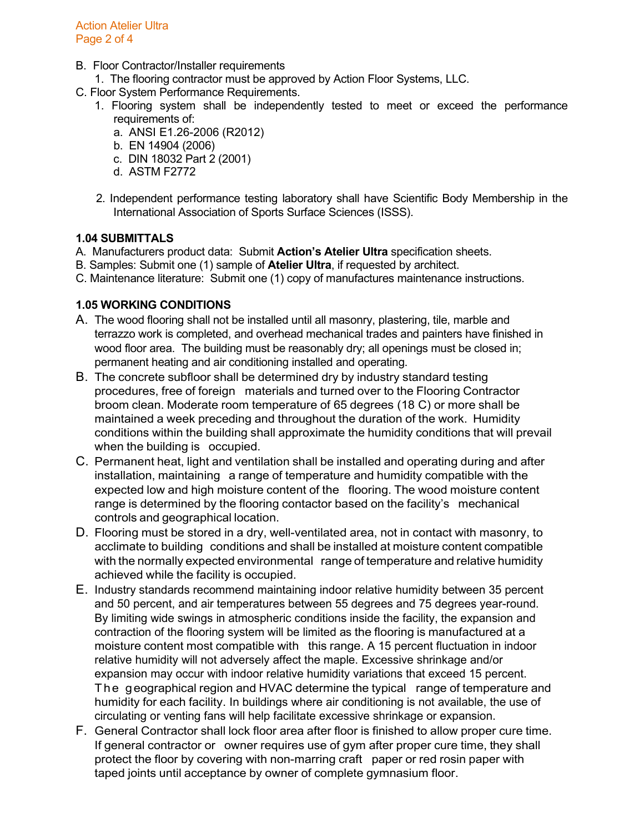- B. Floor Contractor/Installer requirements
	- 1. The flooring contractor must be approved by Action Floor Systems, LLC.
- C. Floor System Performance Requirements.
	- 1. Flooring system shall be independently tested to meet or exceed the performance requirements of:
		- a. ANSI E1.26-2006 (R2012)
		- b. EN 14904 (2006)
		- c. DIN 18032 Part 2 (2001)
		- d. ASTM F2772
	- 2. Independent performance testing laboratory shall have Scientific Body Membership in the International Association of Sports Surface Sciences (ISSS).

# **1.04 SUBMITTALS**

- A. Manufacturers product data: Submit **Action's Atelier Ultra** specification sheets.
- B. Samples: Submit one (1) sample of **Atelier Ultra**, if requested by architect.
- C. Maintenance literature: Submit one (1) copy of manufactures maintenance instructions.

# **1.05 WORKING CONDITIONS**

- A. The wood flooring shall not be installed until all masonry, plastering, tile, marble and terrazzo work is completed, and overhead mechanical trades and painters have finished in wood floor area. The building must be reasonably dry; all openings must be closed in; permanent heating and air conditioning installed and operating.
- B. The concrete subfloor shall be determined dry by industry standard testing procedures, free of foreign materials and turned over to the Flooring Contractor broom clean. Moderate room temperature of 65 degrees (18 C) or more shall be maintained a week preceding and throughout the duration of the work. Humidity conditions within the building shall approximate the humidity conditions that will prevail when the building is occupied.
- C. Permanent heat, light and ventilation shall be installed and operating during and after installation, maintaining a range of temperature and humidity compatible with the expected low and high moisture content of the flooring. The wood moisture content range is determined by the flooring contactor based on the facility's mechanical controls and geographical location.
- D. Flooring must be stored in a dry, well-ventilated area, not in contact with masonry, to acclimate to building conditions and shall be installed at moisture content compatible with the normally expected environmental range of temperature and relative humidity achieved while the facility is occupied.
- E. Industry standards recommend maintaining indoor relative humidity between 35 percent and 50 percent, and air temperatures between 55 degrees and 75 degrees year-round. By limiting wide swings in atmospheric conditions inside the facility, the expansion and contraction of the flooring system will be limited as the flooring is manufactured at a moisture content most compatible with this range. A 15 percent fluctuation in indoor relative humidity will not adversely affect the maple. Excessive shrinkage and/or expansion may occur with indoor relative humidity variations that exceed 15 percent. The geographical region and HVAC determine the typical range of temperature and humidity for each facility. In buildings where air conditioning is not available, the use of circulating or venting fans will help facilitate excessive shrinkage or expansion.
- F. General Contractor shall lock floor area after floor is finished to allow proper cure time. If general contractor or owner requires use of gym after proper cure time, they shall protect the floor by covering with non-marring craft paper or red rosin paper with taped joints until acceptance by owner of complete gymnasium floor.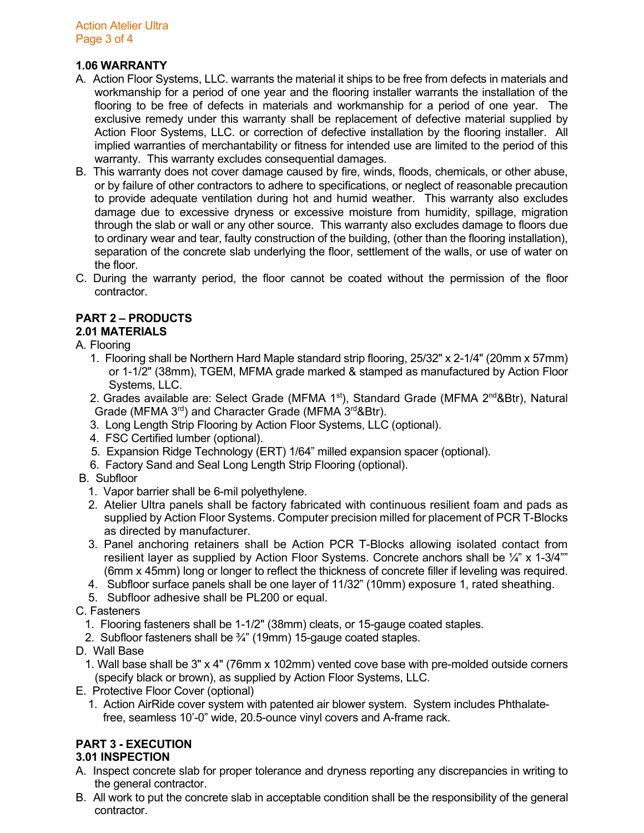# **1.06 WARRANTY**

- A. Action Floor Systems, LLC. warrants the material it ships to be free from defects in materials and workmanship for a period of one year and the flooring installer warrants the installation of the flooring to be free of defects in materials and workmanship for a period of one year. The exclusive remedy under this warranty shall be replacement of defective material supplied by Action Floor Systems, LLC. or correction of defective installation by the flooring installer. All implied warranties of merchantability or fitness for intended use are limited to the period of this warranty. This warranty excludes consequential damages.
- B. This warranty does not cover damage caused by fire, winds, floods, chemicals, or other abuse, or by failure of other contractors to adhere to specifications, or neglect of reasonable precaution to provide adequate ventilation during hot and humid weather. This warranty also excludes damage due to excessive dryness or excessive moisture from humidity, spillage, migration through the slab or wall or any other source. This warranty also excludes damage to floors due to ordinary wear and tear, faulty construction of the building, (other than the flooring installation), separation of the concrete slab underlying the floor, settlement of the walls, or use of water on the floor.
- C. During the warranty period, the floor cannot be coated without the permission of the floor contractor.

# **PART 2 – PRODUCTS**

# **2.01 MATERIALS**

## A. Flooring

1. Flooring shall be Northern Hard Maple standard strip flooring, 25/32" x 2-1/4" (20mm x 57mm) or 1-1/2" (38mm), TGEM, MFMA grade marked & stamped as manufactured by Action Floor Systems, LLC.

2. Grades available are: Select Grade (MFMA  $1<sup>st</sup>$ ), Standard Grade (MFMA  $2<sup>nd</sup> &Btr$ ), Natural Grade (MFMA 3<sup>rd</sup>) and Character Grade (MFMA 3<sup>rd</sup>&Btr).

- 3. Long Length Strip Flooring by Action Floor Systems, LLC (optional).
- 4. FSC Certified lumber (optional).
- 5. Expansion Ridge Technology (ERT) 1/64" milled expansion spacer (optional).
- 6. Factory Sand and Seal Long Length Strip Flooring (optional).
- B. Subfloor
	- 1. Vapor barrier shall be 6-mil polyethylene.
	- 2. Atelier Ultra panels shall be factory fabricated with continuous resilient foam and pads as supplied by Action Floor Systems. Computer precision milled for placement of PCR T-Blocks as directed by manufacturer.
	- 3. Panel anchoring retainers shall be Action PCR T-Blocks allowing isolated contact from resilient layer as supplied by Action Floor Systems. Concrete anchors shall be  $\frac{1}{4}$  x 1-3/4"" (6mm x 45mm) long or longer to reflect the thickness of concrete filler if leveling was required.
	- 4. Subfloor surface panels shall be one layer of 11/32" (10mm) exposure 1, rated sheathing.
	- 5. Subfloor adhesive shall be PL200 or equal.
- C. Fasteners
	- 1. Flooring fasteners shall be 1-1/2" (38mm) cleats, or 15-gauge coated staples.
	- 2. Subfloor fasteners shall be  $\frac{3}{4}$ " (19mm) 15-gauge coated staples.
- D. Wall Base
	- 1. Wall base shall be 3" x 4" (76mm x 102mm) vented cove base with pre-molded outside corners (specify black or brown), as supplied by Action Floor Systems, LLC.
- E. Protective Floor Cover (optional)
	- 1. Action AirRide cover system with patented air blower system. System includes Phthalate free, seamless 10'-0" wide, 20.5-ounce vinyl covers and A-frame rack.

# **PART 3 - EXECUTION**

## **3.01 INSPECTION**

- A. Inspect concrete slab for proper tolerance and dryness reporting any discrepancies in writing to the general contractor.
- B. All work to put the concrete slab in acceptable condition shall be the responsibility of the general contractor.